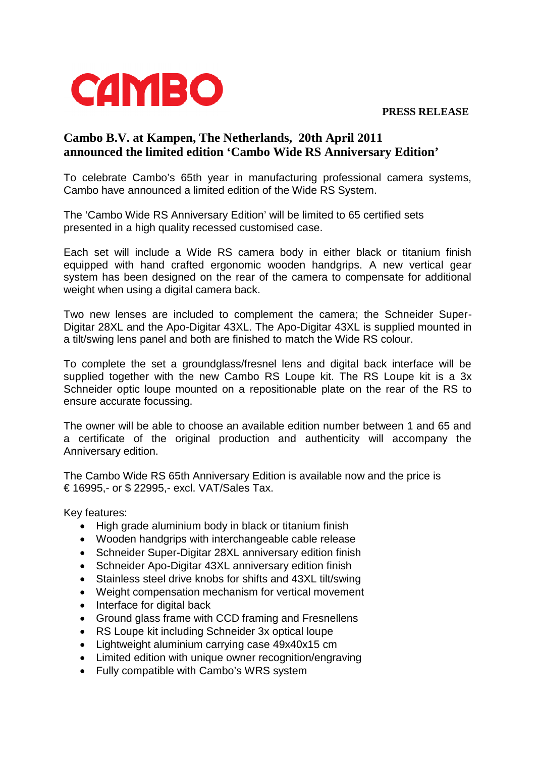**PRESS RELEASE**



## **Cambo B.V. at Kampen, The Netherlands, 20th April 2011 announced the limited edition 'Cambo Wide RS Anniversary Edition'**

To celebrate Cambo's 65th year in manufacturing professional camera systems, Cambo have announced a limited edition of the Wide RS System.

The 'Cambo Wide RS Anniversary Edition' will be limited to 65 certified sets presented in a high quality recessed customised case.

Each set will include a Wide RS camera body in either black or titanium finish equipped with hand crafted ergonomic wooden handgrips. A new vertical gear system has been designed on the rear of the camera to compensate for additional weight when using a digital camera back.

Two new lenses are included to complement the camera; the Schneider Super-Digitar 28XL and the Apo-Digitar 43XL. The Apo-Digitar 43XL is supplied mounted in a tilt/swing lens panel and both are finished to match the Wide RS colour.

To complete the set a groundglass/fresnel lens and digital back interface will be supplied together with the new Cambo RS Loupe kit. The RS Loupe kit is a 3x Schneider optic loupe mounted on a repositionable plate on the rear of the RS to ensure accurate focussing.

The owner will be able to choose an available edition number between 1 and 65 and a certificate of the original production and authenticity will accompany the Anniversary edition.

The Cambo Wide RS 65th Anniversary Edition is available now and the price is € 16995,- or \$ 22995,- excl. VAT/Sales Tax.

Key features:

- High grade aluminium body in black or titanium finish
- Wooden handgrips with interchangeable cable release
- Schneider Super-Digitar 28XL anniversary edition finish
- Schneider Apo-Digitar 43XL anniversary edition finish
- Stainless steel drive knobs for shifts and 43XL tilt/swing
- Weight compensation mechanism for vertical movement
- Interface for digital back
- Ground glass frame with CCD framing and Fresnellens
- RS Loupe kit including Schneider 3x optical loupe
- Lightweight aluminium carrying case 49x40x15 cm
- Limited edition with unique owner recognition/engraving
- Fully compatible with Cambo's WRS system